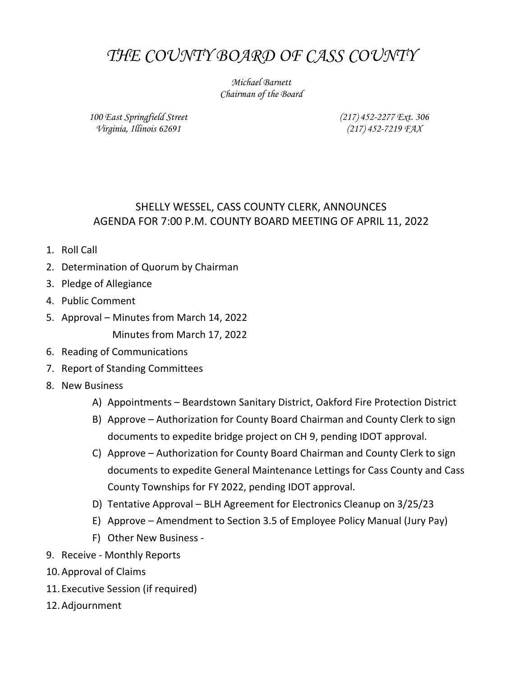# THE COUNTY BOARD OF CASS COUNTY

Michael Barnett Chairman of the Board

100 East Springfield Street Virginia, Illinois 62691

(217) 452-2277 Ext. 306 (217) 452-7219 FAX

## SHELLY WESSEL, CASS COUNTY CLERK, ANNOUNCES AGENDA FOR 7:00 P.M. COUNTY BOARD MEETING OF APRIL 11, 2022

- 1. Roll Call
- 2. Determination of Quorum by Chairman
- 3. Pledge of Allegiance
- 4. Public Comment
- 5. Approval Minutes from March 14, 2022 Minutes from March 17, 2022
- 6. Reading of Communications
- 7. Report of Standing Committees
- 8. New Business
	- A) Appointments Beardstown Sanitary District, Oakford Fire Protection District
	- B) Approve Authorization for County Board Chairman and County Clerk to sign documents to expedite bridge project on CH 9, pending IDOT approval.
	- C) Approve Authorization for County Board Chairman and County Clerk to sign documents to expedite General Maintenance Lettings for Cass County and Cass County Townships for FY 2022, pending IDOT approval.
	- D) Tentative Approval BLH Agreement for Electronics Cleanup on 3/25/23
	- E) Approve Amendment to Section 3.5 of Employee Policy Manual (Jury Pay)
	- F) Other New Business -
- 9. Receive Monthly Reports
- 10.Approval of Claims
- 11. Executive Session (if required)
- 12.Adjournment